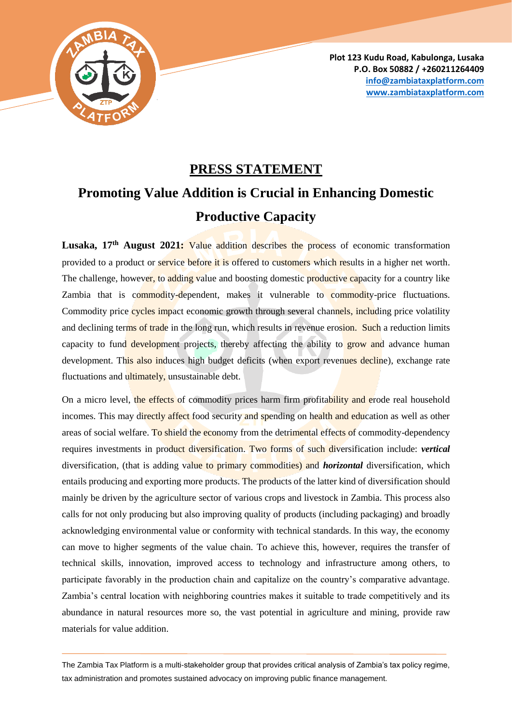

**Plot 123 Kudu Road, Kabulonga, Lusaka P.O. Box 50882 / +260211264409 [info@zambiataxplatform.com](mailto:info@zambiataxplatform.com) [www.zambiataxplatform.com](http://www.zambiataxplatform.com/)**

## **PRESS STATEMENT**

## **Promoting Value Addition is Crucial in Enhancing Domestic Productive Capacity**

**Lusaka, 17th August 2021:** Value addition describes the process of economic transformation provided to a product or service before it is offered to customers which results in a higher net worth. The challenge, however, to adding value and boosting domestic productive capacity for a country like Zambia that is commodity-dependent, makes it vulnerable to commodity-price fluctuations. Commodity price cycles impact economic growth through several channels, including price volatility and declining terms of trade in the long run, which results in revenue erosion. Such a reduction limits capacity to fund development projects, thereby affecting the ability to grow and advance human development. This also induces high budget deficits (when export revenues decline), exchange rate fluctuations and ultimately, unsustainable debt.

On a micro level, the effects of commodity prices harm firm profitability and erode real household incomes. This may directly affect food security and spending on health and education as well as other areas of social welfare. To shield the economy from the detrimental effects of commodity-dependency requires investments in product diversification. Two forms of such diversification include: *vertical* diversification, (that is adding value to primary commodities) and *horizontal* diversification, which entails producing and exporting more products. The products of the latter kind of diversification should mainly be driven by the agriculture sector of various crops and livestock in Zambia. This process also calls for not only producing but also improving quality of products (including packaging) and broadly acknowledging environmental value or conformity with technical standards. In this way, the economy can move to higher segments of the value chain. To achieve this, however, requires the transfer of technical skills, innovation, improved access to technology and infrastructure among others, to participate favorably in the production chain and capitalize on the country's comparative advantage. Zambia's central location with neighboring countries makes it suitable to trade competitively and its abundance in natural resources more so, the vast potential in agriculture and mining, provide raw materials for value addition.

The Zambia Tax Platform is a multi-stakeholder group that provides critical analysis of Zambia's tax policy regime, tax administration and promotes sustained advocacy on improving public finance management.